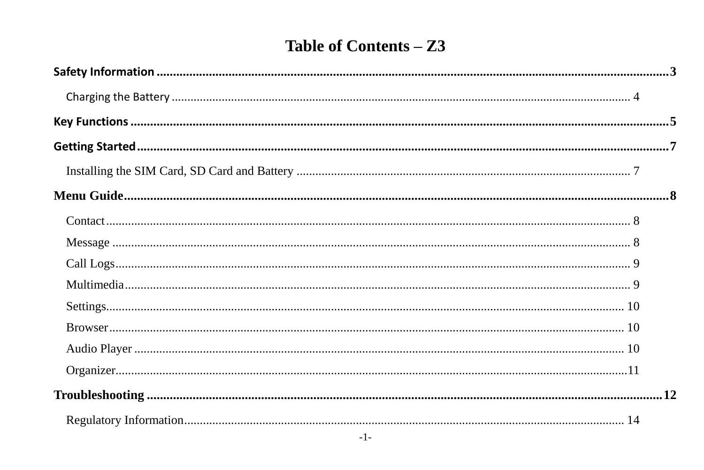# Table of Contents - Z3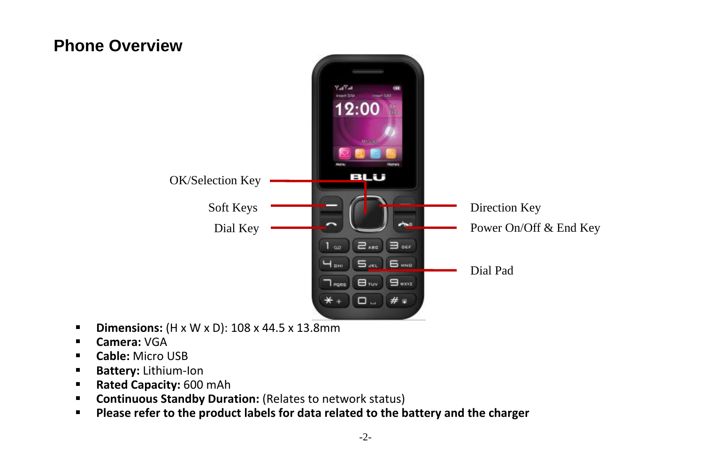## **Phone Overview**



- **Dimensions:**  $(H \times W \times D)$ : 108 x 44.5 x 13.8mm
- **Camera:** VGA
- **Cable:** Micro USB
- **Battery: Lithium-Ion**
- **Rated Capacity: 600 mAh**
- **Continuous Standby Duration:** (Relates to network status)
- **Please refer to the product labels for data related to the battery and the charger**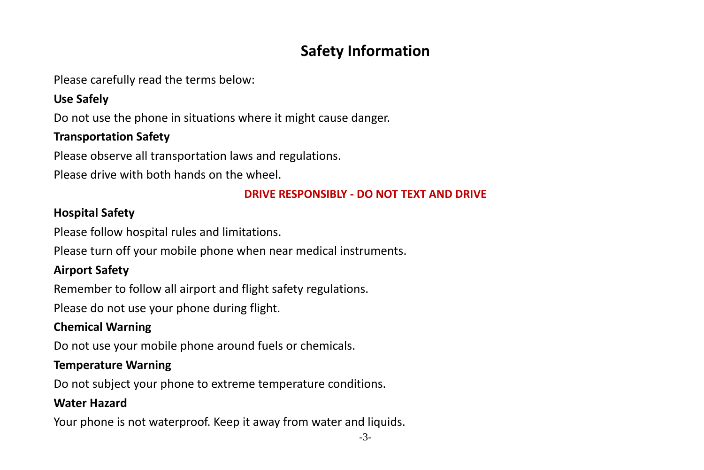## **Safety Information**

<span id="page-2-0"></span>Please carefully read the terms below:

#### **Use Safely**

Do not use the phone in situations where it might cause danger.

### **Transportation Safety**

Please observe all transportation laws and regulations.

Please drive with both hands on the wheel.

#### **DRIVE RESPONSIBLY - DO NOT TEXT AND DRIVE**

#### **Hospital Safety**

Please follow hospital rules and limitations.

Please turn off your mobile phone when near medical instruments.

#### **Airport Safety**

Remember to follow all airport and flight safety regulations.

Please do not use your phone during flight.

#### **Chemical Warning**

Do not use your mobile phone around fuels or chemicals.

#### **Temperature Warning**

Do not subject your phone to extreme temperature conditions.

#### **Water Hazard**

Your phone is not waterproof. Keep it away from water and liquids.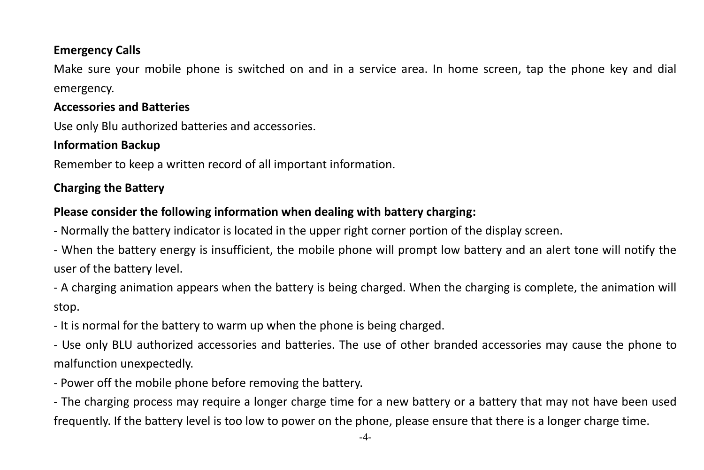#### **Emergency Calls**

Make sure your mobile phone is switched on and in a service area. In home screen, tap the phone key and dial emergency.

#### **Accessories and Batteries**

Use only Blu authorized batteries and accessories.

## **Information Backup**

Remember to keep a written record of all important information.

## <span id="page-3-0"></span>**Charging the Battery**

## **Please consider the following information when dealing with battery charging:**

- Normally the battery indicator is located in the upper right corner portion of the display screen.

- When the battery energy is insufficient, the mobile phone will prompt low battery and an alert tone will notify the user of the battery level.

- A charging animation appears when the battery is being charged. When the charging is complete, the animation will stop.

- It is normal for the battery to warm up when the phone is being charged.

- Use only BLU authorized accessories and batteries. The use of other branded accessories may cause the phone to malfunction unexpectedly.

- Power off the mobile phone before removing the battery.

- The charging process may require a longer charge time for a new battery or a battery that may not have been used frequently. If the battery level is too low to power on the phone, please ensure that there is a longer charge time.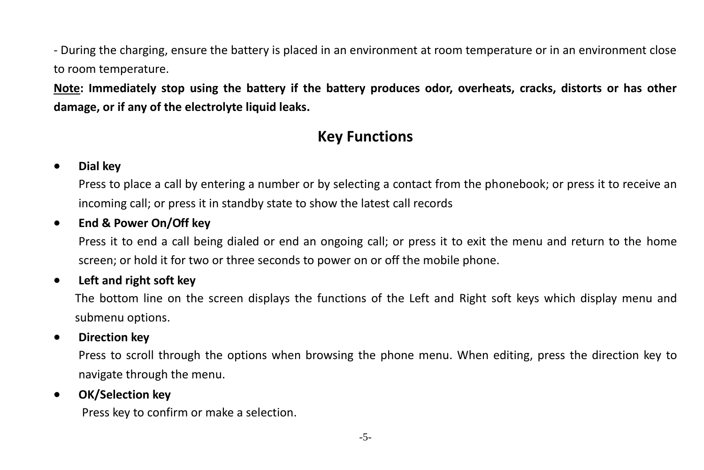- During the charging, ensure the battery is placed in an environment at room temperature or in an environment close to room temperature.

<span id="page-4-0"></span>**Note: Immediately stop using the battery if the battery produces odor, overheats, cracks, distorts or has other damage, or if any of the electrolyte liquid leaks.**

## **Key Functions**

#### **Dial key**

Press to place a call by entering a number or by selecting a contact from the phonebook; or press it to receive an incoming call; or press it in standby state to show the latest call records

#### **End & Power On/Off key**

Press it to end a call being dialed or end an ongoing call; or press it to exit the menu and return to the home screen; or hold it for two or three seconds to power on or off the mobile phone.

#### **Left and right soft key**

The bottom line on the screen displays the functions of the Left and Right soft keys which display menu and submenu options.

#### **Direction key**

Press to scroll through the options when browsing the phone menu. When editing, press the direction key to navigate through the menu.

#### **OK/Selection key**

Press key to confirm or make a selection.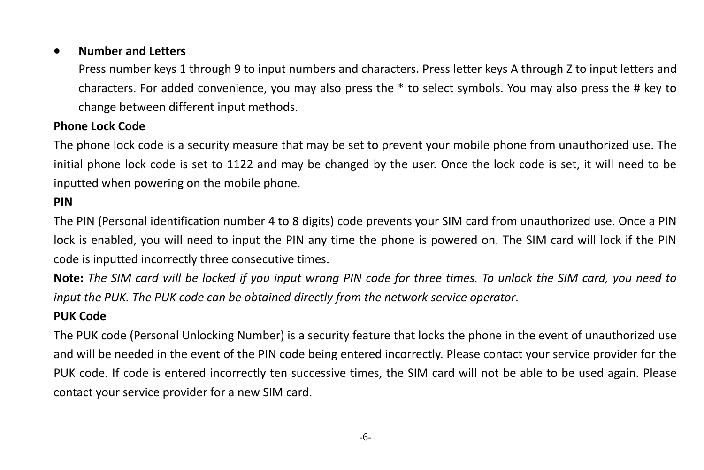#### **Number and Letters**

Press number keys 1 through 9 to input numbers and characters. Press letter keys A through Z to input letters and characters. For added convenience, you may also press the \* to select symbols. You may also press the # key to change between different input methods.

#### **Phone Lock Code**

The phone lock code is a security measure that may be set to prevent your mobile phone from unauthorized use. The initial phone lock code is set to 1122 and may be changed by the user. Once the lock code is set, it will need to be inputted when powering on the mobile phone.

#### **PIN**

The PIN (Personal identification number 4 to 8 digits) code prevents your SIM card from unauthorized use. Once a PIN lock is enabled, you will need to input the PIN any time the phone is powered on. The SIM card will lock if the PIN code is inputted incorrectly three consecutive times.

**Note:** *The SIM card will be locked if you input wrong PIN code for three times. To unlock the SIM card, you need to input the PUK. The PUK code can be obtained directly from the network service operator*.

#### **PUK Code**

The PUK code (Personal Unlocking Number) is a security feature that locks the phone in the event of unauthorized use and will be needed in the event of the PIN code being entered incorrectly. Please contact your service provider for the PUK code. If code is entered incorrectly ten successive times, the SIM card will not be able to be used again. Please contact your service provider for a new SIM card.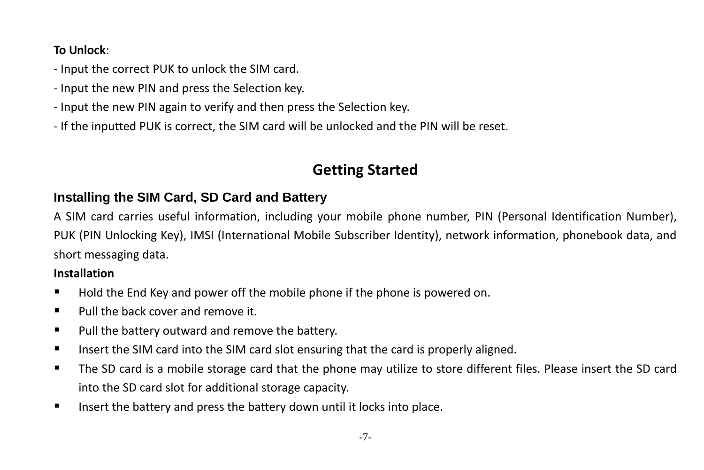## **To Unlock**:

- Input the correct PUK to unlock the SIM card.
- Input the new PIN and press the Selection key.
- Input the new PIN again to verify and then press the Selection key.
- <span id="page-6-0"></span>- If the inputted PUK is correct, the SIM card will be unlocked and the PIN will be reset.

## **Getting Started**

## <span id="page-6-1"></span>**Installing the SIM Card, SD Card and Battery**

A SIM card carries useful information, including your mobile phone number, PIN (Personal Identification Number), PUK (PIN Unlocking Key), IMSI (International Mobile Subscriber Identity), network information, phonebook data, and short messaging data.

## **Installation**

- Hold the End Key and power off the mobile phone if the phone is powered on.
- $\blacksquare$  Pull the back cover and remove it.
- **Pull the battery outward and remove the battery.**
- Insert the SIM card into the SIM card slot ensuring that the card is properly aligned.
- The SD card is a mobile storage card that the phone may utilize to store different files. Please insert the SD card into the SD card slot for additional storage capacity.
- Insert the battery and press the battery down until it locks into place.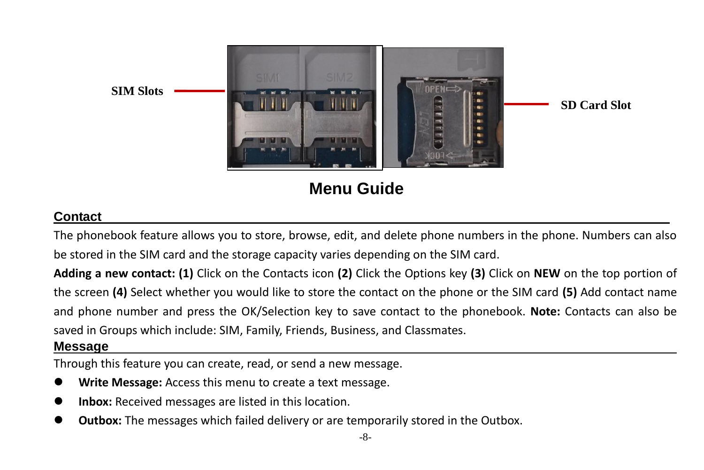

**Menu Guide**

## <span id="page-7-1"></span><span id="page-7-0"></span>**Contact**

The phonebook feature allows you to store, browse, edit, and delete phone numbers in the phone. Numbers can also be stored in the SIM card and the storage capacity varies depending on the SIM card.

**Adding a new contact: (1)** Click on the Contacts icon **(2)** Click the Options key **(3)** Click on **NEW** on the top portion of the screen **(4)** Select whether you would like to store the contact on the phone or the SIM card **(5)** Add contact name and phone number and press the OK/Selection key to save contact to the phonebook. **Note:** Contacts can also be saved in Groups which include: SIM, Family, Friends, Business, and Classmates.

#### <span id="page-7-2"></span>**Message**

Through this feature you can create, read, or send a new message.

- **Write Message:** Access this menu to create a text message.
- **Inbox:** Received messages are listed in this location.
- **Outbox:** The messages which failed delivery or are temporarily stored in the Outbox.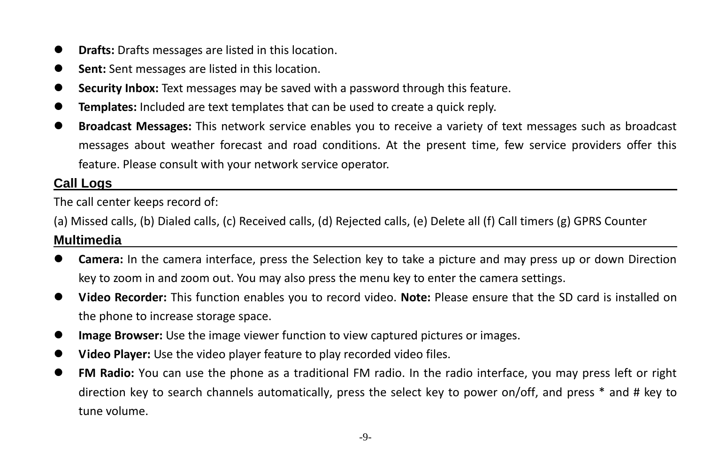- **Drafts:** Drafts messages are listed in this location.
- **Sent:** Sent messages are listed in this location.
- **Security Inbox:** Text messages may be saved with a password through this feature.
- **Templates:** Included are text templates that can be used to create a quick reply.
- **Broadcast Messages:** This network service enables you to receive a variety of text messages such as broadcast messages about weather forecast and road conditions. At the present time, few service providers offer this feature. Please consult with your network service operator.

## <span id="page-8-0"></span>**Call Logs**

The call center keeps record of:

(a) Missed calls, (b) Dialed calls, (c) Received calls, (d) Rejected calls, (e) Delete all (f) Call timers (g) GPRS Counter

## <span id="page-8-1"></span>**Multimedia**

- **Camera:** In the camera interface, press the Selection key to take a picture and may press up or down Direction key to zoom in and zoom out. You may also press the menu key to enter the camera settings.
- **Video Recorder:** This function enables you to record video. **Note:** Please ensure that the SD card is installed on the phone to increase storage space.
- **Image Browser:** Use the image viewer function to view captured pictures or images.
- **Video Player:** Use the video player feature to play recorded video files.
- **FM Radio:** You can use the phone as a traditional FM radio. In the radio interface, you may press left or right direction key to search channels automatically, press the select key to power on/off, and press \* and # key to tune volume.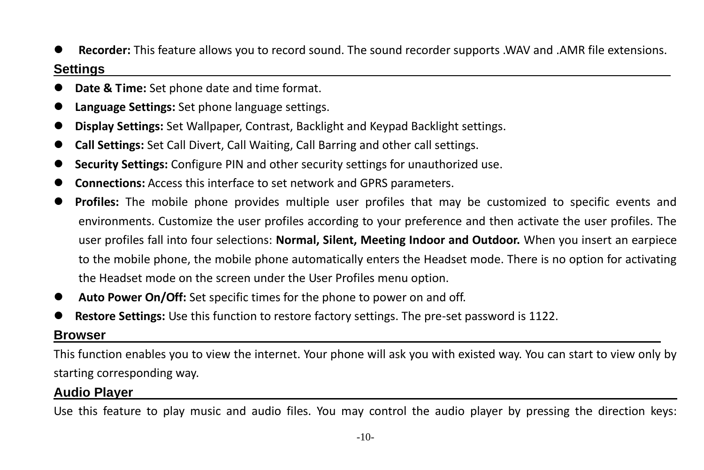**Recorder:** This feature allows you to record sound. The sound recorder supports .WAV and .AMR file extensions.

## <span id="page-9-0"></span>**Settings**

- **Date & Time:** Set phone date and time format.
- **Language Settings:** Set phone language settings.
- **Display Settings:** Set Wallpaper, Contrast, Backlight and Keypad Backlight settings.
- **Call Settings:** Set Call Divert, Call Waiting, Call Barring and other call settings.
- **Security Settings:** Configure PIN and other security settings for unauthorized use.
- **Connections:** Access this interface to set network and GPRS parameters.
- **Profiles:** The mobile phone provides multiple user profiles that may be customized to specific events and environments. Customize the user profiles according to your preference and then activate the user profiles. The user profiles fall into four selections: **Normal, Silent, Meeting Indoor and Outdoor.** When you insert an earpiece to the mobile phone, the mobile phone automatically enters the Headset mode. There is no option for activating the Headset mode on the screen under the User Profiles menu option.
- **Auto Power On/Off:** Set specific times for the phone to power on and off.
- **Restore Settings:** Use this function to restore factory settings. The pre-set password is 1122.

## <span id="page-9-1"></span>**Browser**

This function enables you to view the internet. Your phone will ask you with existed way. You can start to view only by starting corresponding way.

## <span id="page-9-2"></span>**Audio Player**

Use this feature to play music and audio files. You may control the audio player by pressing the direction keys: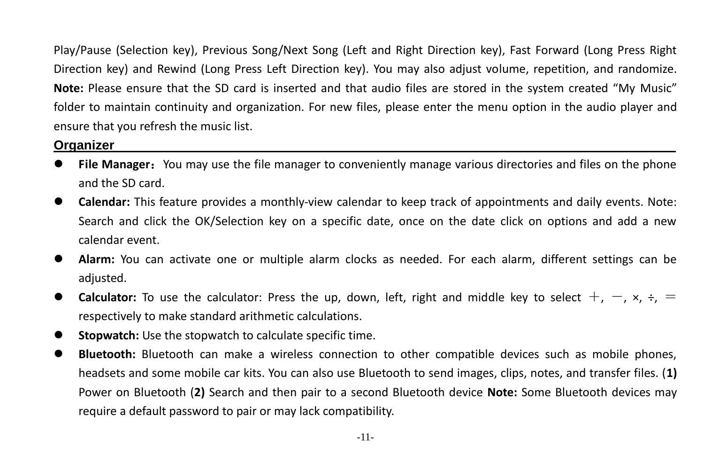Play/Pause (Selection key), Previous Song/Next Song (Left and Right Direction key), Fast Forward (Long Press Right Direction key) and Rewind (Long Press Left Direction key). You may also adjust volume, repetition, and randomize. **Note:** Please ensure that the SD card is inserted and that audio files are stored in the system created "My Music" folder to maintain continuity and organization. For new files, please enter the menu option in the audio player and ensure that you refresh the music list.

#### <span id="page-10-0"></span>**Organizer**

- **File Manager**:You may use the file manager to conveniently manage various directories and files on the phone and the SD card.
- **Calendar:** This feature provides a monthly-view calendar to keep track of appointments and daily events. Note: Search and click the OK/Selection key on a specific date, once on the date click on options and add a new calendar event.
- **Alarm:** You can activate one or multiple alarm clocks as needed. For each alarm, different settings can be adjusted.
- **Calculator:** To use the calculator: Press the up, down, left, right and middle key to select  $+$ ,  $-$ ,  $\times$ ,  $\div$ ,  $=$ respectively to make standard arithmetic calculations.
- **Stopwatch:** Use the stopwatch to calculate specific time.
- **Bluetooth:** Bluetooth can make a wireless connection to other compatible devices such as mobile phones, headsets and some mobile car kits. You can also use Bluetooth to send images, clips, notes, and transfer files. (**1)** Power on Bluetooth (**2)** Search and then pair to a second Bluetooth device **Note:** Some Bluetooth devices may require a default password to pair or may lack compatibility.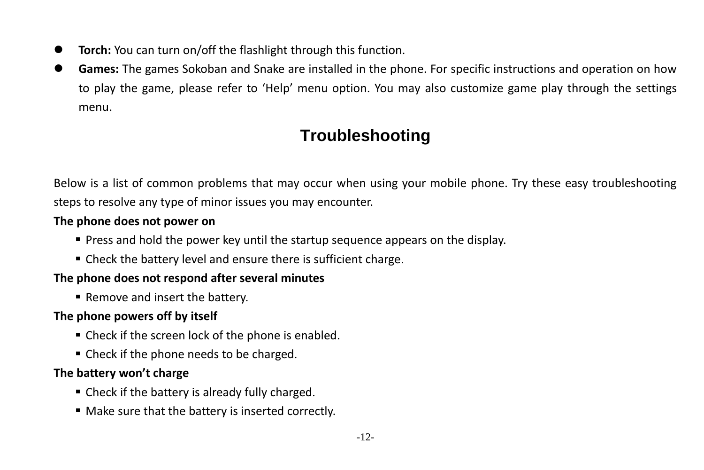- **Torch:** You can turn on/off the flashlight through this function.
- <span id="page-11-0"></span> **Games:** The games Sokoban and Snake are installed in the phone. For specific instructions and operation on how to play the game, please refer to 'Help' menu option. You may also customize game play through the settings menu.

# **Troubleshooting**

Below is a list of common problems that may occur when using your mobile phone. Try these easy troubleshooting steps to resolve any type of minor issues you may encounter.

#### **The phone does not power on**

- **Press and hold the power key until the startup sequence appears on the display.**
- Check the battery level and ensure there is sufficient charge.

#### **The phone does not respond after several minutes**

■ Remove and insert the battery.

#### **The phone powers off by itself**

- Check if the screen lock of the phone is enabled.
- Check if the phone needs to be charged.

#### **The battery won't charge**

- Check if the battery is already fully charged.
- Make sure that the battery is inserted correctly.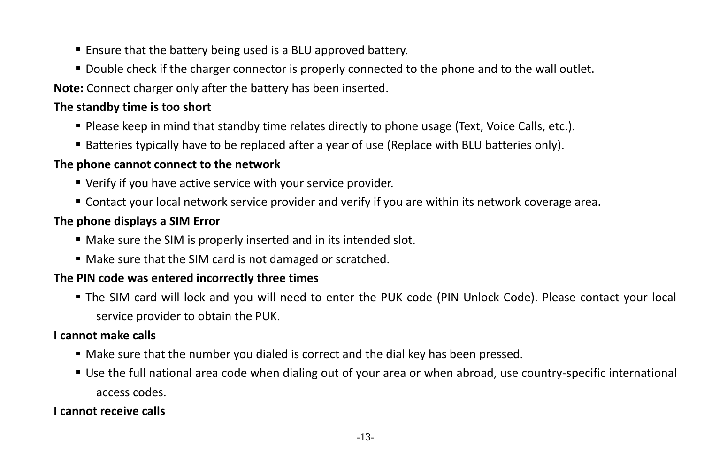- **Ensure that the battery being used is a BLU approved battery.**
- Double check if the charger connector is properly connected to the phone and to the wall outlet.

**Note:** Connect charger only after the battery has been inserted.

## **The standby time is too short**

- Please keep in mind that standby time relates directly to phone usage (Text, Voice Calls, etc.).
- Batteries typically have to be replaced after a year of use (Replace with BLU batteries only).

#### **The phone cannot connect to the network**

- Verify if you have active service with your service provider.
- Contact your local network service provider and verify if you are within its network coverage area.

#### **The phone displays a SIM Error**

- Make sure the SIM is properly inserted and in its intended slot.
- Make sure that the SIM card is not damaged or scratched.

## **The PIN code was entered incorrectly three times**

 The SIM card will lock and you will need to enter the PUK code (PIN Unlock Code). Please contact your local service provider to obtain the PUK.

#### **I cannot make calls**

- Make sure that the number you dialed is correct and the dial key has been pressed.
- Use the full national area code when dialing out of your area or when abroad, use country-specific international access codes.

#### **I cannot receive calls**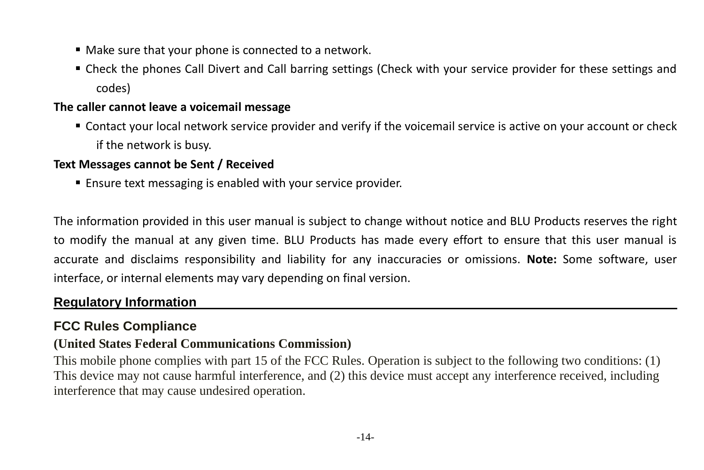- Make sure that your phone is connected to a network.
- Check the phones Call Divert and Call barring settings (Check with your service provider for these settings and codes)

#### **The caller cannot leave a voicemail message**

 Contact your local network service provider and verify if the voicemail service is active on your account or check if the network is busy.

#### **Text Messages cannot be Sent / Received**

Ensure text messaging is enabled with your service provider.

The information provided in this user manual is subject to change without notice and BLU Products reserves the right to modify the manual at any given time. BLU Products has made every effort to ensure that this user manual is accurate and disclaims responsibility and liability for any inaccuracies or omissions. **Note:** Some software, user interface, or internal elements may vary depending on final version.

## <span id="page-13-0"></span>**Regulatory Information**

## **FCC Rules Compliance**

#### **(United States Federal Communications Commission)**

This mobile phone complies with part 15 of the FCC Rules. Operation is subject to the following two conditions: (1) This device may not cause harmful interference, and (2) this device must accept any interference received, including interference that may cause undesired operation.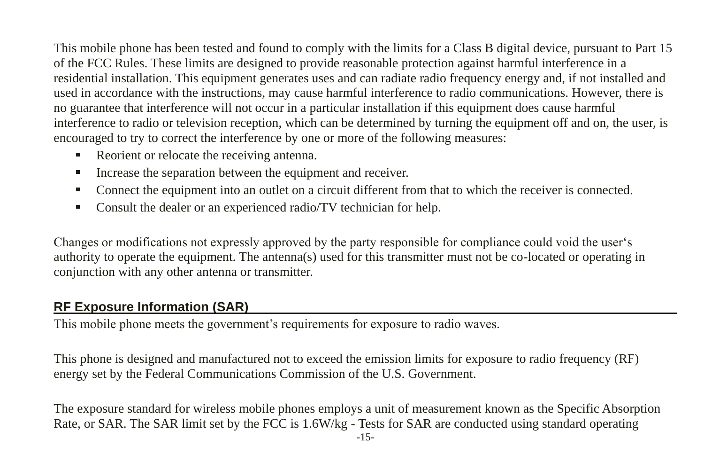This mobile phone has been tested and found to comply with the limits for a Class B digital device, pursuant to Part 15 of the FCC Rules. These limits are designed to provide reasonable protection against harmful interference in a residential installation. This equipment generates uses and can radiate radio frequency energy and, if not installed and used in accordance with the instructions, may cause harmful interference to radio communications. However, there is no guarantee that interference will not occur in a particular installation if this equipment does cause harmful interference to radio or television reception, which can be determined by turning the equipment off and on, the user, is encouraged to try to correct the interference by one or more of the following measures:

- Reorient or relocate the receiving antenna.
- Increase the separation between the equipment and receiver.
- Connect the equipment into an outlet on a circuit different from that to which the receiver is connected.
- Consult the dealer or an experienced radio/TV technician for help.

Changes or modifications not expressly approved by the party responsible for compliance could void the user's authority to operate the equipment. The antenna(s) used for this transmitter must not be co-located or operating in conjunction with any other antenna or transmitter.

## **RF Exposure Information (SAR)**

This mobile phone meets the government's requirements for exposure to radio waves.

This phone is designed and manufactured not to exceed the emission limits for exposure to radio frequency (RF) energy set by the Federal Communications Commission of the U.S. Government.

The exposure standard for wireless mobile phones employs a unit of measurement known as the Specific Absorption Rate, or SAR. The SAR limit set by the FCC is 1.6W/kg - Tests for SAR are conducted using standard operating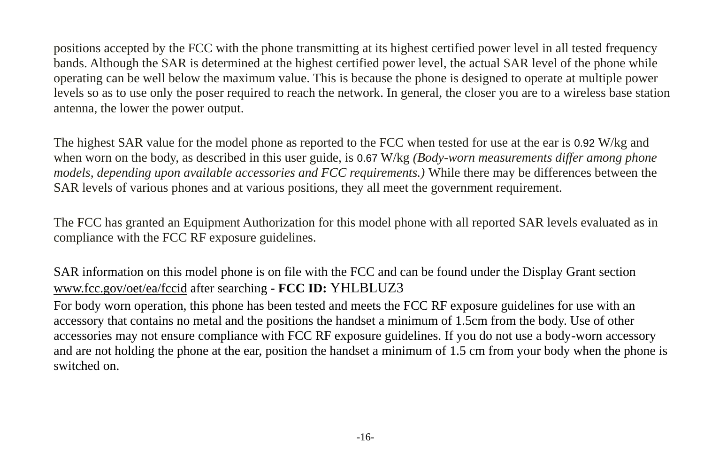positions accepted by the FCC with the phone transmitting at its highest certified power level in all tested frequency bands. Although the SAR is determined at the highest certified power level, the actual SAR level of the phone while operating can be well below the maximum value. This is because the phone is designed to operate at multiple power levels so as to use only the poser required to reach the network. In general, the closer you are to a wireless base station antenna, the lower the power output.

The highest SAR value for the model phone as reported to the FCC when tested for use at the ear is 0.92 W/kg and when worn on the body, as described in this user guide, is 0.67 W/kg *(Body-worn measurements differ among phone models, depending upon available accessories and FCC requirements.)* While there may be differences between the SAR levels of various phones and at various positions, they all meet the government requirement.

The FCC has granted an Equipment Authorization for this model phone with all reported SAR levels evaluated as in compliance with the FCC RF exposure guidelines.

SAR information on this model phone is on file with the FCC and can be found under the Display Grant section [www.fcc.gov/oet/ea/fccid](http://www.fcc.gov/oet/ea/fccid) after searching **- FCC ID:** YHLBLUZ3

For body worn operation, this phone has been tested and meets the FCC RF exposure guidelines for use with an accessory that contains no metal and the positions the handset a minimum of 1.5cm from the body. Use of other accessories may not ensure compliance with FCC RF exposure guidelines. If you do not use a body-worn accessory and are not holding the phone at the ear, position the handset a minimum of 1.5 cm from your body when the phone is switched on.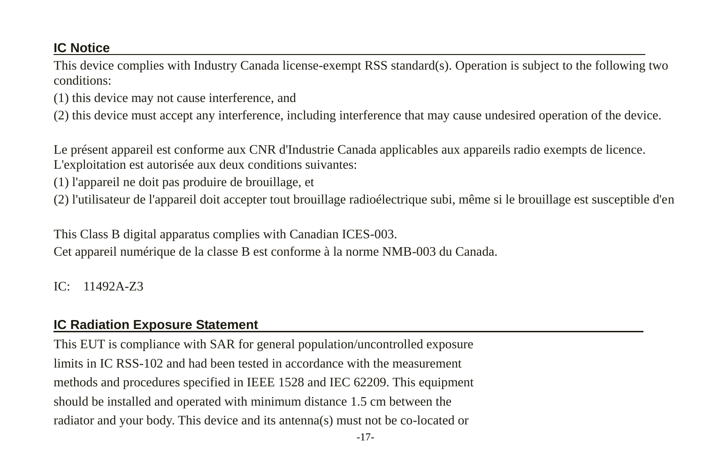## **IC Notice**

This device complies with Industry Canada license-exempt RSS standard(s). Operation is subject to the following two conditions:

(1) this device may not cause interference, and

(2) this device must accept any interference, including interference that may cause undesired operation of the device.

Le présent appareil est conforme aux CNR d'Industrie Canada applicables aux appareils radio exempts de licence. L'exploitation est autoris ée aux deux conditions suivantes:

- (1) l'appareil ne doit pas produire de brouillage, et
- (2) l'utilisateur de l'appareil doit accepter tout brouillage radioélectrique subi, même si le brouillage est susceptible d'en

This Class B digital apparatus complies with Canadian ICES-003.

Cet appareil numérique de la classe B est conforme à la norme NMB-003 du Canada.

IC: 11492A-Z3

## **IC Radiation Exposure Statement**

This EUT is compliance with SAR for general population/uncontrolled exposure limits in IC RSS-102 and had been tested in accordance with the measurement methods and procedures specified in IEEE 1528 and IEC 62209. This equipment should be installed and operated with minimum distance 1.5 cm between the radiator and your body. This device and its antenna(s) must not be co-located or